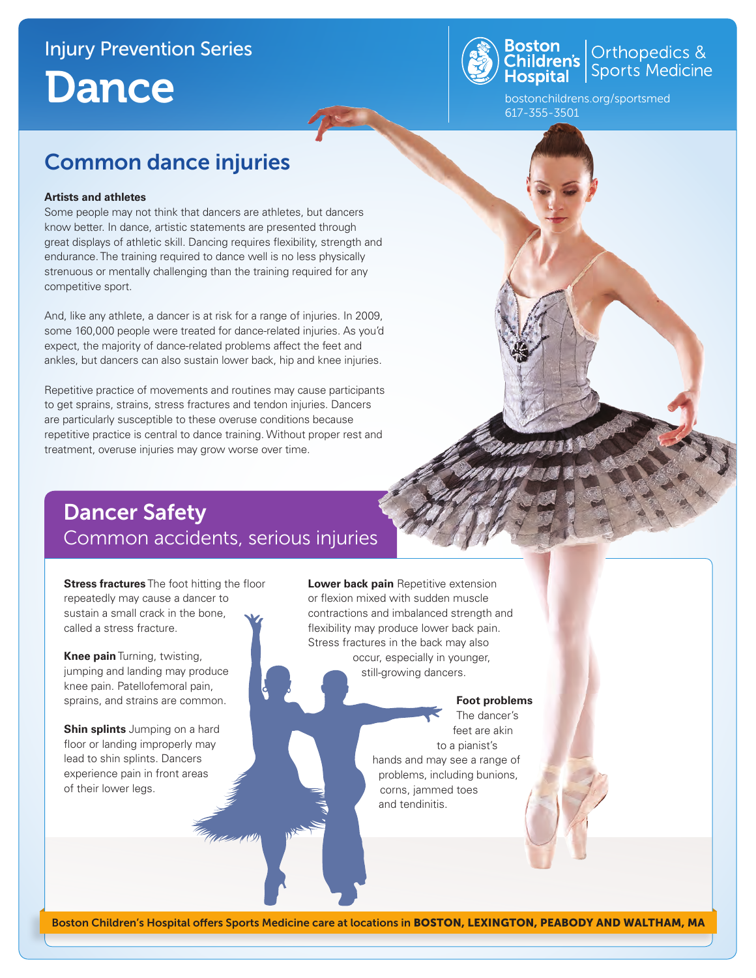# Injury Prevention Series **Dance**



**Boston**<br>Children's Orthopedics &<br>Hospital Sports Medicine

bostonchildrens.org/sportsmed 617-355-3501

## Common dance injuries

#### **Artists and athletes**

Some people may not think that dancers are athletes, but dancers know better. In dance, artistic statements are presented through great displays of athletic skill. Dancing requires flexibility, strength and endurance. The training required to dance well is no less physically strenuous or mentally challenging than the training required for any competitive sport.

And, like any athlete, a dancer is at risk for a range of injuries. In 2009, some 160,000 people were treated for dance-related injuries. As you'd expect, the majority of dance-related problems affect the feet and ankles, but dancers can also sustain lower back, hip and knee injuries.

Repetitive practice of movements and routines may cause participants to get sprains, strains, stress fractures and tendon injuries. Dancers are particularly susceptible to these overuse conditions because repetitive practice is central to dance training. Without proper rest and treatment, overuse injuries may grow worse over time.

## Dancer Safety Common accidents, serious injuries

**Stress fractures** The foot hitting the floor repeatedly may cause a dancer to sustain a small crack in the bone, called a stress fracture.

**Knee pain** Turning, twisting, jumping and landing may produce knee pain. Patellofemoral pain, sprains, and strains are common.

**Shin splints** Jumping on a hard floor or landing improperly may lead to shin splints. Dancers experience pain in front areas of their lower legs.

**Lower back pain** Repetitive extension or flexion mixed with sudden muscle contractions and imbalanced strength and flexibility may produce lower back pain. Stress fractures in the back may also occur, especially in younger, still-growing dancers.

#### **Foot problems**

The dancer's feet are akin to a pianist's hands and may see a range of problems, including bunions, corns, jammed toes and tendinitis.

Boston Children's Hospital offers Sports Medicine care at locations in BOSTON, LEXINGTON, PEABODY AND WALTHAM, MA